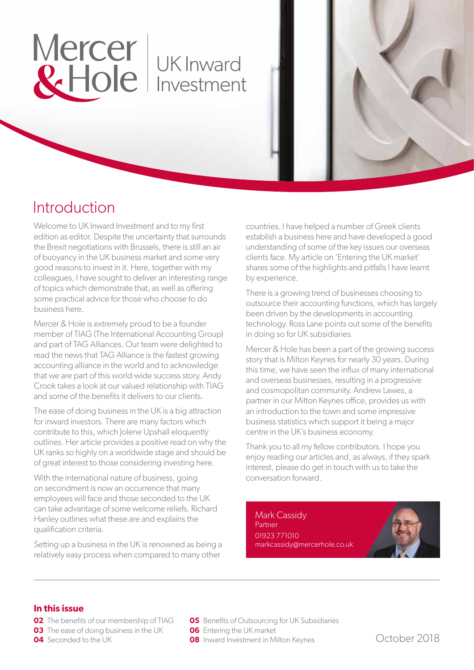# Mercer | UK Inward<br>& Hole | Investment

### Introduction

Welcome to UK Inward Investment and to my first edition as editor. Despite the uncertainty that surrounds the Brexit negotiations with Brussels, there is still an air of buoyancy in the UK business market and some very good reasons to invest in it. Here, together with my colleagues, I have sought to deliver an interesting range of topics which demonstrate that, as well as offering some practical advice for those who choose to do business here.

Mercer & Hole is extremely proud to be a founder member of TIAG (The International Accounting Group) and part of TAG Alliances. Our team were delighted to read the news that TAG Alliance is the fastest growing accounting alliance in the world and to acknowledge that we are part of this world-wide success story. Andy Crook takes a look at our valued relationship with TIAG and some of the benefits it delivers to our clients.

The ease of doing business in the UK is a big attraction for inward investors. There are many factors which contribute to this, which Jolene Upshall eloquently outlines. Her article provides a positive read on why the UK ranks so highly on a worldwide stage and should be of great interest to those considering investing here.

With the international nature of business, going on secondment is now an occurrence that many employees will face and those seconded to the UK can take advantage of some welcome reliefs. Richard Hanley outlines what these are and explains the qualification criteria.

Setting up a business in the UK is renowned as being a relatively easy process when compared to many other

countries. I have helped a number of Greek clients establish a business here and have developed a good understanding of some of the key issues our overseas clients face. My article on 'Entering the UK market' shares some of the highlights and pitfalls I have learnt by experience.

There is a growing trend of businesses choosing to outsource their accounting functions, which has largely been driven by the developments in accounting technology. Ross Lane points out some of the benefits in doing so for UK subsidiaries.

Mercer & Hole has been a part of the growing success story that is Milton Keynes for nearly 30 years. During this time, we have seen the influx of many international and overseas businesses, resulting in a progressive and cosmopolitan community. Andrew Lawes, a partner in our Milton Keynes office, provides us with an introduction to the town and some impressive business statistics which support it being a major centre in the UK's business economy.

Thank you to all my fellow contributors. I hope you enjoy reading our articles and, as always, if they spark interest, please do get in touch with us to take the conversation forward.

Mark Cassidy Partner 01923 771010 markcassidy@mercerhole.co.uk



### **In this issue**

- **02** The benefits of our membership of TIAG
- **03** The ease of doing business in the UK
- **04** Seconded to the UK

**05** Benefits of Outsourcing for UK Subsidiaries

- **06** Entering the UK market
- **08** Inward Investment in Milton Keynes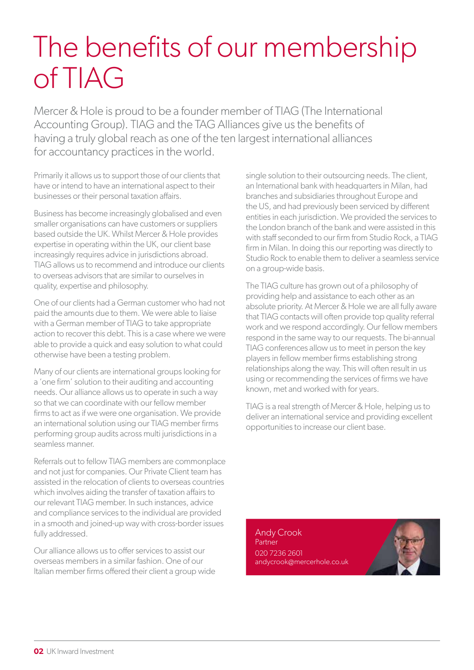### The benefits of our membership of TIAG

Mercer & Hole is proud to be a founder member of TIAG (The International Accounting Group). TIAG and the TAG Alliances give us the benefits of having a truly global reach as one of the ten largest international alliances for accountancy practices in the world.

Primarily it allows us to support those of our clients that have or intend to have an international aspect to their businesses or their personal taxation affairs.

Business has become increasingly globalised and even smaller organisations can have customers or suppliers based outside the UK. Whilst Mercer & Hole provides expertise in operating within the UK, our client base increasingly requires advice in jurisdictions abroad. TIAG allows us to recommend and introduce our clients to overseas advisors that are similar to ourselves in quality, expertise and philosophy.

One of our clients had a German customer who had not paid the amounts due to them. We were able to liaise with a German member of TIAG to take appropriate action to recover this debt. This is a case where we were able to provide a quick and easy solution to what could otherwise have been a testing problem.

Many of our clients are international groups looking for a 'one firm' solution to their auditing and accounting needs. Our alliance allows us to operate in such a way so that we can coordinate with our fellow member firms to act as if we were one organisation. We provide an international solution using our TIAG member firms performing group audits across multi jurisdictions in a seamless manner.

Referrals out to fellow TIAG members are commonplace and not just for companies. Our Private Client team has assisted in the relocation of clients to overseas countries which involves aiding the transfer of taxation affairs to our relevant TIAG member. In such instances, advice and compliance services to the individual are provided in a smooth and joined-up way with cross-border issues fully addressed.

Our alliance allows us to offer services to assist our overseas members in a similar fashion. One of our Italian member firms offered their client a group wide single solution to their outsourcing needs. The client, an International bank with headquarters in Milan, had branches and subsidiaries throughout Europe and the US, and had previously been serviced by different entities in each jurisdiction. We provided the services to the London branch of the bank and were assisted in this with staff seconded to our firm from Studio Rock, a TIAG firm in Milan. In doing this our reporting was directly to Studio Rock to enable them to deliver a seamless service on a group-wide basis.

The TIAG culture has grown out of a philosophy of providing help and assistance to each other as an absolute priority. At Mercer & Hole we are all fully aware that TIAG contacts will often provide top quality referral work and we respond accordingly. Our fellow members respond in the same way to our requests. The bi-annual TIAG conferences allow us to meet in person the key players in fellow member firms establishing strong relationships along the way. This will often result in us using or recommending the services of firms we have known, met and worked with for years.

TIAG is a real strength of Mercer & Hole, helping us to deliver an international service and providing excellent opportunities to increase our client base.

Andy Crook Partner 020 7236 2601 andycrook@mercerhole.co.uk

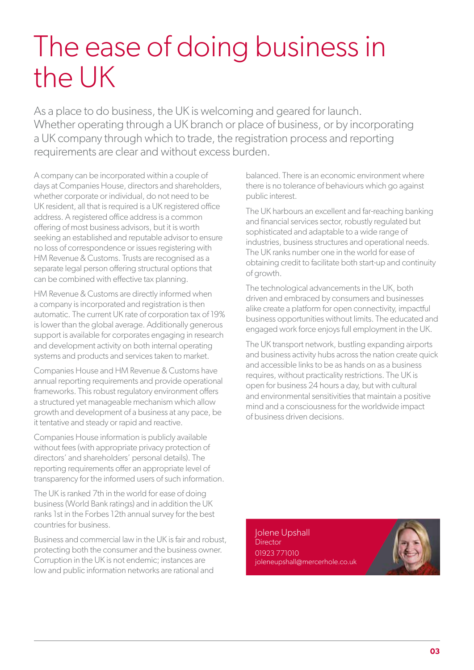### The ease of doing business in the UK

As a place to do business, the UK is welcoming and geared for launch. Whether operating through a UK branch or place of business, or by incorporating a UK company through which to trade, the registration process and reporting requirements are clear and without excess burden.

A company can be incorporated within a couple of days at Companies House, directors and shareholders, whether corporate or individual, do not need to be UK resident, all that is required is a UK registered office address. A registered office address is a common offering of most business advisors, but it is worth seeking an established and reputable advisor to ensure no loss of correspondence or issues registering with HM Revenue & Customs. Trusts are recognised as a separate legal person offering structural options that can be combined with effective tax planning.

HM Revenue & Customs are directly informed when a company is incorporated and registration is then automatic. The current UK rate of corporation tax of 19% is lower than the global average. Additionally generous support is available for corporates engaging in research and development activity on both internal operating systems and products and services taken to market.

Companies House and HM Revenue & Customs have annual reporting requirements and provide operational frameworks. This robust regulatory environment offers a structured yet manageable mechanism which allow growth and development of a business at any pace, be it tentative and steady or rapid and reactive.

Companies House information is publicly available without fees (with appropriate privacy protection of directors' and shareholders' personal details). The reporting requirements offer an appropriate level of transparency for the informed users of such information.

The UK is ranked 7th in the world for ease of doing business (World Bank ratings) and in addition the UK ranks 1st in the Forbes 12th annual survey for the best countries for business.

Business and commercial law in the UK is fair and robust, protecting both the consumer and the business owner. Corruption in the UK is not endemic; instances are low and public information networks are rational and

balanced. There is an economic environment where there is no tolerance of behaviours which go against public interest.

The UK harbours an excellent and far-reaching banking and financial services sector, robustly regulated but sophisticated and adaptable to a wide range of industries, business structures and operational needs. The UK ranks number one in the world for ease of obtaining credit to facilitate both start-up and continuity of growth.

The technological advancements in the UK, both driven and embraced by consumers and businesses alike create a platform for open connectivity, impactful business opportunities without limits. The educated and engaged work force enjoys full employment in the UK.

The UK transport network, bustling expanding airports and business activity hubs across the nation create quick and accessible links to be as hands on as a business requires, without practicality restrictions. The UK is open for business 24 hours a day, but with cultural and environmental sensitivities that maintain a positive mind and a consciousness for the worldwide impact of business driven decisions.

Jolene Upshall **Director** 01923 771010 joleneupshall@mercerhole.co.uk

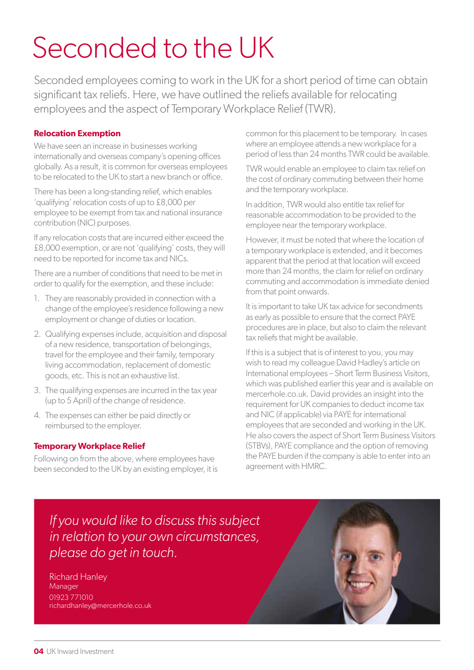### Seconded to the UK

Seconded employees coming to work in the UK for a short period of time can obtain significant tax reliefs. Here, we have outlined the reliefs available for relocating employees and the aspect of Temporary Workplace Relief (TWR).

#### **Relocation Exemption**

We have seen an increase in businesses working internationally and overseas company's opening offices globally. As a result, it is common for overseas employees to be relocated to the UK to start a new branch or office.

There has been a long-standing relief, which enables 'qualifying' relocation costs of up to £8,000 per employee to be exempt from tax and national insurance contribution (NIC) purposes.

If any relocation costs that are incurred either exceed the £8,000 exemption, or are not 'qualifying' costs, they will need to be reported for income tax and NICs.

There are a number of conditions that need to be met in order to qualify for the exemption, and these include:

- 1. They are reasonably provided in connection with a change of the employee's residence following a new employment or change of duties or location.
- 2. Qualifying expenses include, acquisition and disposal of a new residence, transportation of belongings, travel for the employee and their family, temporary living accommodation, replacement of domestic goods, etc. This is not an exhaustive list.
- 3. The qualifying expenses are incurred in the tax year (up to 5 April) of the change of residence.
- 4. The expenses can either be paid directly or reimbursed to the employer.

#### **Temporary Workplace Relief**

Following on from the above, where employees have been seconded to the UK by an existing employer, it is

common for this placement to be temporary. In cases where an employee attends a new workplace for a period of less than 24 months TWR could be available.

TWR would enable an employee to claim tax relief on the cost of ordinary commuting between their home and the temporary workplace.

In addition, TWR would also entitle tax relief for reasonable accommodation to be provided to the employee near the temporary workplace.

However, it must be noted that where the location of a temporary workplace is extended, and it becomes apparent that the period at that location will exceed more than 24 months, the claim for relief on ordinary commuting and accommodation is immediate denied from that point onwards.

It is important to take UK tax advice for secondments as early as possible to ensure that the correct PAYE procedures are in place, but also to claim the relevant tax reliefs that might be available.

If this is a subject that is of interest to you, you may wish to read my colleague David Hadley's article on International employees – Short Term Business Visitors, which was published earlier this year and is available on mercerhole.co.uk. David provides an insight into the requirement for UK companies to deduct income tax and NIC (if applicable) via PAYE for international employees that are seconded and working in the UK. He also covers the aspect of Short Term Business Visitors (STBVs), PAYE compliance and the option of removing the PAYE burden if the company is able to enter into an agreement with HMRC.

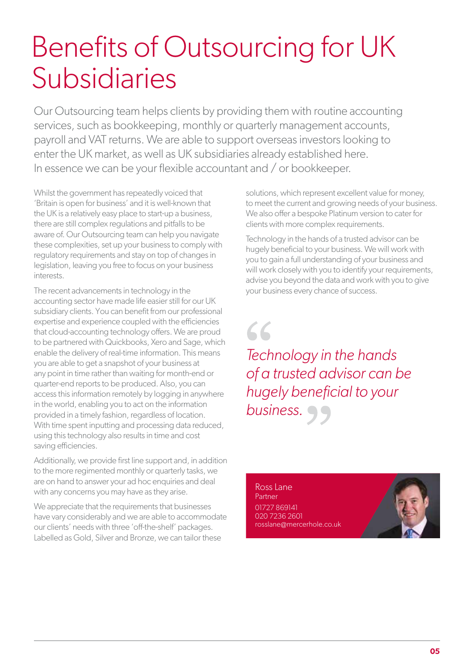### Benefits of Outsourcing for UK Subsidiaries

Our Outsourcing team helps clients by providing them with routine accounting services, such as bookkeeping, monthly or quarterly management accounts, payroll and VAT returns. We are able to support overseas investors looking to enter the UK market, as well as UK subsidiaries already established here. In essence we can be your flexible accountant and / or bookkeeper.

Whilst the government has repeatedly voiced that 'Britain is open for business' and it is well-known that the UK is a relatively easy place to start-up a business, there are still complex regulations and pitfalls to be aware of. Our Outsourcing team can help you navigate these complexities, set up your business to comply with regulatory requirements and stay on top of changes in legislation, leaving you free to focus on your business interests.

The recent advancements in technology in the accounting sector have made life easier still for our UK subsidiary clients. You can benefit from our professional expertise and experience coupled with the efficiencies that cloud-accounting technology offers. We are proud to be partnered with Quickbooks, Xero and Sage, which enable the delivery of real-time information. This means you are able to get a snapshot of your business at any point in time rather than waiting for month-end or quarter-end reports to be produced. Also, you can access this information remotely by logging in anywhere in the world, enabling you to act on the information provided in a timely fashion, regardless of location. With time spent inputting and processing data reduced, using this technology also results in time and cost saving efficiencies.

Additionally, we provide first line support and, in addition to the more regimented monthly or quarterly tasks, we are on hand to answer your ad hoc enquiries and deal with any concerns you may have as they arise.

We appreciate that the requirements that businesses have vary considerably and we are able to accommodate our clients' needs with three 'off-the-shelf' packages. Labelled as Gold, Silver and Bronze, we can tailor these

solutions, which represent excellent value for money, to meet the current and growing needs of your business. We also offer a bespoke Platinum version to cater for clients with more complex requirements.

Technology in the hands of a trusted advisor can be hugely beneficial to your business. We will work with you to gain a full understanding of your business and will work closely with you to identify your requirements, advise you beyond the data and work with you to give your business every chance of success.

 $66$ *Technology in the hands of a trusted advisor can be hugely beneficial to your business.*

Ross Lane Partner 01727 869141 020 7236 2601 rosslane@mercerhole.co.uk

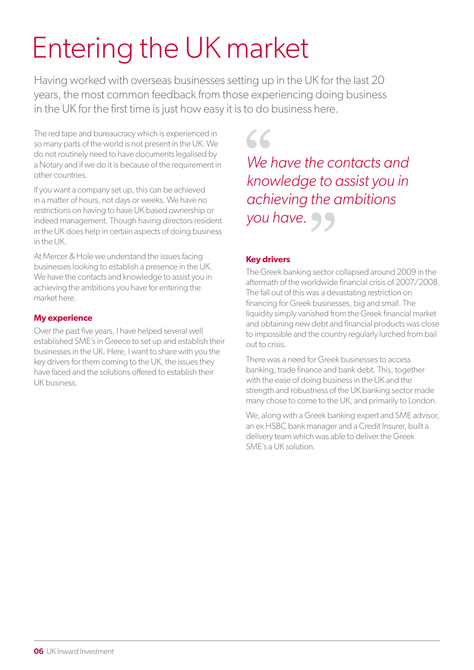## Entering the UK market

Having worked with overseas businesses setting up in the UK for the last 20 years, the most common feedback from those experiencing doing business in the UK for the first time is just how easy it is to do business here.

The red tape and bureaucracy which is experienced in so many parts of the world is not present in the UK. We do not routinely need to have documents legalised by a Notary and if we do it is because of the requirement in other countries.

If you want a company set up, this can be achieved in a matter of hours, not days or weeks. We have no restrictions on having to have UK based ownership or indeed management. Though having directors resident in the UK does help in certain aspects of doing business in the UK.

At Mercer & Hole we understand the issues facing businesses looking to establish a presence in the UK. We have the contacts and knowledge to assist you in achieving the ambitions you have for entering the market here.

### **My experience**

Over the past five years, I have helped several well established SME's in Greece to set up and establish their businesses in the UK. Here, I want to share with you the key drivers for them coming to the UK, the issues they have faced and the solutions offered to establish their UK business.

 $66$ 

*We have the contacts and knowledge to assist you in achieving the ambitions you have.*

### **Key drivers**

The Greek banking sector collapsed around 2009 in the aftermath of the worldwide financial crisis of 2007/2008. The fall out of this was a devastating restriction on financing for Greek businesses, big and small. The liquidity simply vanished from the Greek financial market and obtaining new debt and financial products was close to impossible and the country regularly lurched from bail out to crisis.

There was a need for Greek businesses to access banking, trade finance and bank debt. This, together with the ease of doing business in the UK and the strength and robustness of the UK banking sector made many chose to come to the UK, and primarily to London.

We, along with a Greek banking expert and SME advisor, an ex HSBC bank manager and a Credit Insurer, built a delivery team which was able to deliver the Greek SME's a UK solution.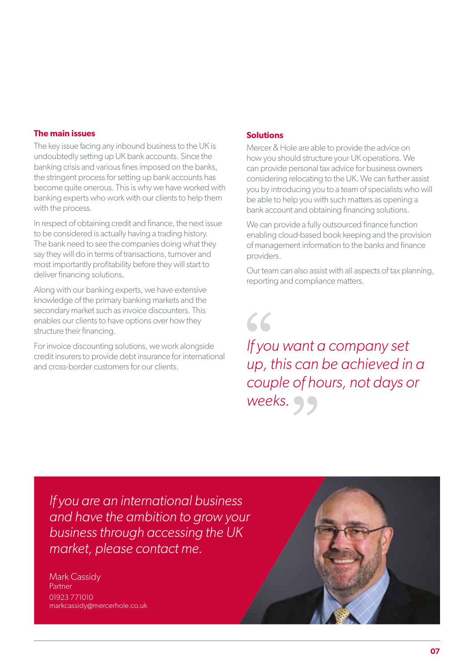#### **The main issues**

The key issue facing any inbound business to the UK is undoubtedly setting up UK bank accounts. Since the banking crisis and various fines imposed on the banks, the stringent process for setting up bank accounts has become quite onerous. This is why we have worked with banking experts who work with our clients to help them with the process.

In respect of obtaining credit and finance, the next issue to be considered is actually having a trading history. The bank need to see the companies doing what they say they will do in terms of transactions, turnover and most importantly profitability before they will start to deliver financing solutions.

Along with our banking experts, we have extensive knowledge of the primary banking markets and the secondary market such as invoice discounters. This enables our clients to have options over how they structure their financing.

For invoice discounting solutions, we work alongside credit insurers to provide debt insurance for international and cross-border customers for our clients.

#### **Solutions**

 $66$ 

Mercer & Hole are able to provide the advice on how you should structure your UK operations. We can provide personal tax advice for business owners considering relocating to the UK. We can further assist you by introducing you to a team of specialists who will be able to help you with such matters as opening a bank account and obtaining financing solutions.

We can provide a fully outsourced finance function enabling cloud-based book keeping and the provision of management information to the banks and finance providers.

Our team can also assist with all aspects of tax planning, reporting and compliance matters.

*If you want a company set up, this can be achieved in a couple of hours, not days or weeks.*

*If you are an international business and have the ambition to grow your business through accessing the UK market, please contact me.*

Mark Cassidy Partner 01923 771010 markcassidy@mercerhole.co.uk